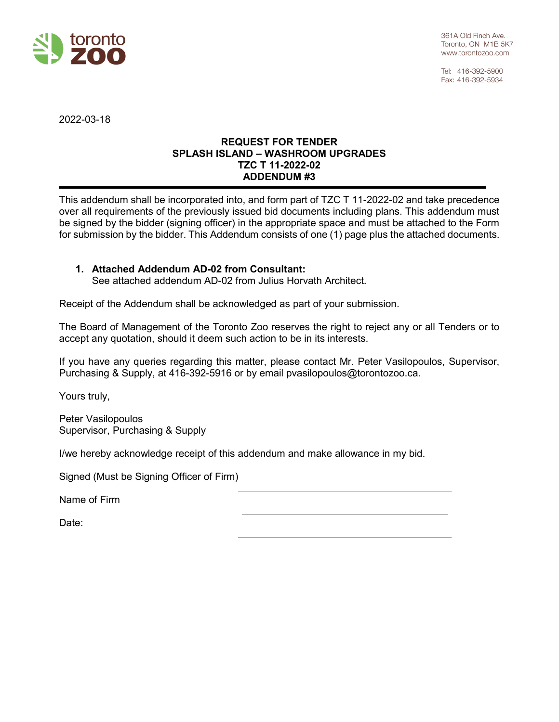

Tel: 416-392-5900 Fax: 416-392-5934

2022-03-18

## **REQUEST FOR TENDER SPLASH ISLAND – WASHROOM UPGRADES TZC T 11-2022-02 ADDENDUM #3**

This addendum shall be incorporated into, and form part of TZC T 11-2022-02 and take precedence over all requirements of the previously issued bid documents including plans. This addendum must be signed by the bidder (signing officer) in the appropriate space and must be attached to the Form for submission by the bidder. This Addendum consists of one (1) page plus the attached documents.

# **1. Attached Addendum AD-02 from Consultant:**

See attached addendum AD-02 from Julius Horvath Architect.

Receipt of the Addendum shall be acknowledged as part of your submission.

The Board of Management of the Toronto Zoo reserves the right to reject any or all Tenders or to accept any quotation, should it deem such action to be in its interests.

If you have any queries regarding this matter, please contact Mr. Peter Vasilopoulos, Supervisor, Purchasing & Supply, at 416-392-5916 or by email pvasilopoulos@torontozoo.ca.

Yours truly,

Peter Vasilopoulos Supervisor, Purchasing & Supply

I/we hereby acknowledge receipt of this addendum and make allowance in my bid.

Signed (Must be Signing Officer of Firm)

Name of Firm

Date: